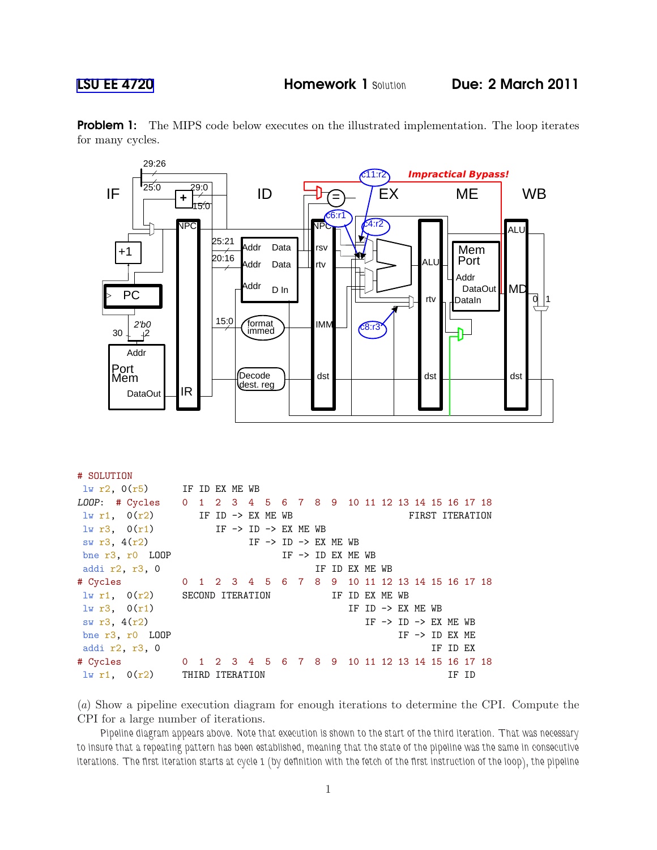# SOLUTION



**Problem 1:** The MIPS code below executes on the illustrated implementation. The loop iterates for many cycles.

| $\frac{1}{2}$ $\frac{1}{2}$ , $0(r5)$ IF ID EX ME WB          |                                                                                 |  |  |  |  |  |  |  |                                            |  |                |  |  |  |                                            |          |       |  |
|---------------------------------------------------------------|---------------------------------------------------------------------------------|--|--|--|--|--|--|--|--------------------------------------------|--|----------------|--|--|--|--------------------------------------------|----------|-------|--|
| LOOP: # Cycles 0 1 2 3 4 5 6 7 8 9 10 11 12 13 14 15 16 17 18 |                                                                                 |  |  |  |  |  |  |  |                                            |  |                |  |  |  |                                            |          |       |  |
| $lw$ r1, $O(r2)$ IF ID -> EX ME WB                            |                                                                                 |  |  |  |  |  |  |  |                                            |  |                |  |  |  | FIRST ITERATION                            |          |       |  |
| $1w r3$ , $0(r1)$ IF -> ID -> EX ME WB                        |                                                                                 |  |  |  |  |  |  |  |                                            |  |                |  |  |  |                                            |          |       |  |
| sw $r3, 4(r2)$                                                |                                                                                 |  |  |  |  |  |  |  | IF $\rightarrow$ ID $\rightarrow$ EX ME WB |  |                |  |  |  |                                            |          |       |  |
| bne $r3$ , $r0$ LOOP                                          |                                                                                 |  |  |  |  |  |  |  | IF $\rightarrow$ ID EX ME WB               |  |                |  |  |  |                                            |          |       |  |
| addi r2, r3, 0                                                |                                                                                 |  |  |  |  |  |  |  |                                            |  | IF ID EX ME WB |  |  |  |                                            |          |       |  |
| # Cycles 0 1 2 3 4 5 6 7 8 9 10 11 12 13 14 15 16 17 18       |                                                                                 |  |  |  |  |  |  |  |                                            |  |                |  |  |  |                                            |          |       |  |
|                                                               | $\frac{1}{1}$ $\frac{1}{1}$ , $\frac{0(r2)}{1}$ SECOND ITERATION IF ID EX ME WB |  |  |  |  |  |  |  |                                            |  |                |  |  |  |                                            |          |       |  |
| 1w r3, 0(r1)                                                  |                                                                                 |  |  |  |  |  |  |  |                                            |  |                |  |  |  | IF ID $\rightarrow$ EX ME WB               |          |       |  |
| sw $r3, 4(r2)$                                                |                                                                                 |  |  |  |  |  |  |  |                                            |  |                |  |  |  | IF $\rightarrow$ ID $\rightarrow$ EX ME WB |          |       |  |
| bne r3, r0 LOOP                                               |                                                                                 |  |  |  |  |  |  |  |                                            |  |                |  |  |  | IF $\rightarrow$ ID EX ME                  |          |       |  |
| addi r2, r3, 0                                                |                                                                                 |  |  |  |  |  |  |  |                                            |  |                |  |  |  |                                            | IF ID EX |       |  |
| # Cycles 0 1 2 3 4 5 6 7 8 9 10 11 12 13 14 15 16 17 18       |                                                                                 |  |  |  |  |  |  |  |                                            |  |                |  |  |  |                                            |          |       |  |
| $\frac{1}{2}$ $\frac{1}{2}$ $\frac{1}{2}$ THIRD ITERATION     |                                                                                 |  |  |  |  |  |  |  |                                            |  |                |  |  |  |                                            |          | IF ID |  |

(a) Show a pipeline execution diagram for enough iterations to determine the CPI. Compute the CPI for a large number of iterations.

Pipeline diagram appears above. Note that execution is shown to the start of the third iteration. That was necessary to insure that a repeating pattern has been established, meaning that the state of the pipeline was the same in consecutive iterations. The first iteration starts at cycle 1 (by definition with the fetch of the first instruction of the loop), the pipeline